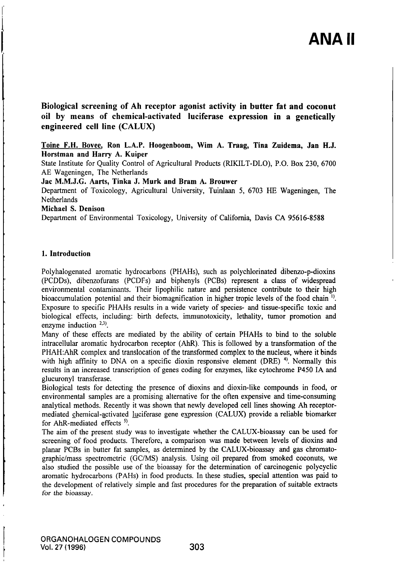Biological screening of Ah receptor agonist activity in butter fat and coconut oil by means of chemical-activated luciferase expression in a genetically engineered cell line (CALUX)

# Toine F.H. Bovee. Ron L.A.P. Hoogenboom, Wim A. Traag, Tina Zuidema, Jan H.J. Horstman and Harry A. Kuiper

State Institute for Quality Control of Agricultural Products (RIKILT-DLO), P.O. Box 230, 6700 AE Wageningen, The Netherlands

Jac M.M.J.G. Aarts, Tinka J. Murk and Bram A. Brouwer

Departmeni of Toxicology, Agricultural University, Tuinlaan 5, 6703 HE Wageningen, The **Netherlands** 

Michael S. Denison

Department of Environmental Toxicology, University of California, Davis CA 95616-8588

# 1. Introduction

Polyhalogenated aromatic hydrocarbons (PHAHs), such as polychlorinated dibenzo-p-dioxins (PCDDs), dibenzofurans (PCDFs) and biphenyls (PCBs) represeni a class of widespread environmental contaminants. Their lipophilic nature and persistence contribute to their high bioaccumulation potential and their biomagnification in higher tropic levels of the food chain  $\mathfrak{h}$ . Exposure to specific PHAHs results in a wide variety of species- and tissue-specific toxic and biological effecis, including: birth defects, immunotoxicity, lethality, tumor promotion and enzyme induction  $^{2,3}$ .

Many of these effecis are mediated by the ability of cerlain PHAHs to bind to the soluble intracellular aromatic hydrocarbon receptor (AhR). This is followed by a transformation of the PHAH: AhR complex and translocation of the transformed complex to the nucleus, where it binds with high affinity to DNA on a specific dioxin responsive element (DRE)  $\alpha$ . Normally this results in an increased transcription of genes coding for enzymes, like cytochrome P450 IA and glucuronyl transferase.

Biological tests for detecting the presence of dioxins and dioxin-like compounds in food, or environmental samples are a promising alternative for die often expensive and time-consuming analytical methods. Recenlly it was shown that newly developed cell lines showing Ah receptormediated chemical-activated luciferase gene expression (CALUX) provide a reliable biomarker for AhR-mediated effects  $5$ .

The aim of the present study was to investigate whether the CALUX-bioassay can be used for screening of food products. Therefore, a comparison was made between levels of dioxins and planar PCBs in butter fat samples, as determined by the CALUX-bioassay and gas chromatographic/mass spectrometric (GC/MS) analysis. Using oil prepared from smoked coconuts, we also studied the possible use of the bioassay for the determination of carcinogenic polycyclic aromatic hydrocarbons (PAHs) in food products. In these studies, special attention was paid to the development of relatively simple and fast procedures for the preparation of suitable extracts for the bioassay.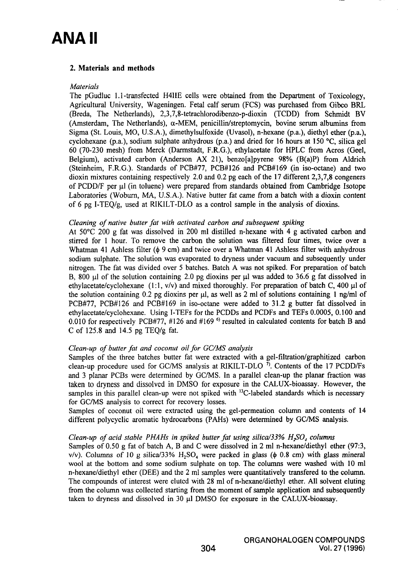# ANA II

# 2. Materials and methods

#### **Materials**

The pGudluc 1.1-transfected H41IE cells were obtained from the Department of Toxicology, Agricultural University, Wageningen. Fetal calf semm (FCS) was purchased from Gibco BRL (Breda, The Netherlands), 2,3,7,8-telrachlorodibenzo-p-dioxin (TCDD) from Schmidt BV (Amsterdam, The Netherlands),  $\alpha$ -MEM, penicillin/streptomycin, bovine serum albumins from Sigma (Sl. Louis, MO, U.S.A.), dimethylsulfoxide (Uvasol), n-hexane (p.a.), diethyl ether (p.a.), cyclohexane (p.a.), sodium sulphate anhydrous (p.a.) and dried for 16 hours at 150 °C, silica gel 60 (70-230 mesh) from Merck (Darmstadt, F.R.G.), ethylacetate for HPLC from Acros (Geel, Belgium), activated carbon (Anderson AX 21), benzo [a]pyrene 98% (B(a)P) from Aldrich (Sleinheim, F.R.G.). Standards of PCB#77, PCB#126 and PCB#169 (in iso-octane) and two dioxin mixtures containing respectively 2.0 and 0.2 pg each of the 17 different  $2,3,7,8$  congeners of PCDD/F per pl (in toluene) were prepared from standards obtained from Cambridge Isotope Laboratories (Woburn, MA, U.S.A.). Native butter fat came from a batch with a dioxin content of 6 pg I-TEQ/g, used at RIKILT-DLO as a control sample in the analysis of dioxins.

### Cleaning of native butter fat with activated carbon and subsequent spiking

At 50°C 200 g fat was dissolved in 200 ml distilled n-hexane with 4 g activated carbon and stined for 1 hour. To remove the carbon the solution was filtered four times, twice over a Whatman 41 Ashless filter ( $\phi$  9 cm) and twice over a Whatman 41 Ashless filter with anhydrous sodium sulphate. The solution was evaporated to dryness under vacuum and subsequently under nitrogen. The fat was divided over 5 batches. Batch A was not spiked. For preparation of batch B, 800  $\mu$ l of the solution containing 2.0 pg dioxins per  $\mu$ l was added to 36.6 g fat dissolved in ethylacetate/cyclohexane (1:1, v/v) and mixed thoroughly. For preparation of batch C, 400  $\mu$ l of the solution containing 0.2 pg dioxins per  $\mu$ , as well as 2 ml of solutions containing 1 ng/ml of PCB#77, PCB#126 and PCB#169 in iso-octane were added to 31.2 g butter fat dissolved in ethylacetate/cyclohexane. Using I-TEFs for the PCDDs and PCDFs and TEFs 0.0005, 0.100 and 0.010 for respectively PCB#77, #126 and #169  $<sup>6</sup>$  resulted in calculated contents for batch B and</sup> C of 125.8 and 14.5 pg TEQ/g fat.

### Clean-up of butter fat and coconut oil for GC/MS analysis

Samples of the three batches butter fat were extracted with a gel-filtration/graphitized carbon clean-up procedure used for GC/MS analysis at RIKILT-DLO <sup>7)</sup>. Contents of the 17 PCDD/Fs and 3 planar PCBs were determined by GC/MS. In a parallel clean-up the planar fraction was taken to dryness and dissolved in DMSO for exposure in the CALUX-bioassay. However, the samples in this parallel clean-up were not spiked with  $^{13}$ C-labeled standards which is necessary for GC/MS analysis to correct for recovery losses.

Samples of coconut oil were extracted using the gel-permeation column and contents of 14 differeni polycyclic aromatic hydrocarbons (PAHs) were determined by GC/MS analysis.

### Clean-up of acid stable PHAHs in spiked butter fat using silica/33%  $H<sub>s</sub>SO<sub>s</sub>$  columns

Samples of 0.50 g fat of batch A, B and C were dissolved in 2 ml n-hexane/diethyl ether (97:3, v/v). Columns of 10 g silica/33%  $H_2SO_4$  were packed in glass ( $\phi$  0.8 cm) with glass mineral wool at the bottom and some sodium sulphate on top. The columns were washed with 10 ml n-hexane/diethyl ether (DEE) and the 2 ml samples were quantitatively transfered to the column. The compounds of interest were eluted with 28 ml of n-hexane/diethyl ether. All solvent eluting from the column was collected starting from the moment of sample applicadon and subsequentiy taken to dryness and dissolved in  $30 \mu l$  DMSO for exposure in the CALUX-bioassay.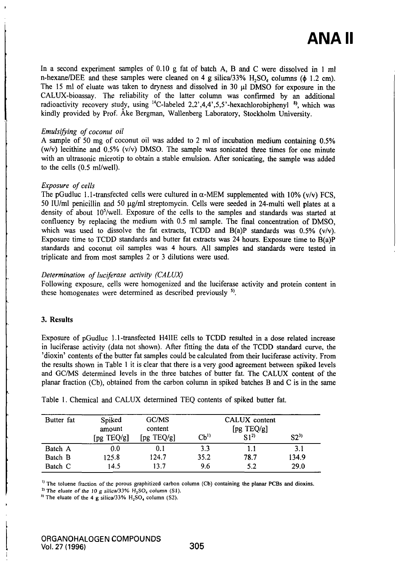In a second experiment samples of 0.10 g fat of batch A, B and C were dissolved in 1 ml n-hexane/DEE and these samples were cleaned on 4 g silica/33%  $H_2SO_4$  columns ( $\phi$  1.2 cm). The 15 ml of eluate was taken to dryness and dissolved in 30  $\mu$ l DMSO for exposure in the CALUX-bioassay. The reliability of the latter column was confirmed by an additional radioactivity recovery study, using <sup>14</sup>C-labeled 2,2',4,4',5,5'-hexachlorobiphenyl<sup>8)</sup>, which was kindly provided by Prof. Åke Bergman, Wallenberg Laboratory, Stockholm University.

## Emulsifying of coconut oil

A sample of 50 mg of coconut oil was added to 2 ml of incubation medium containing 0.5% (w/v) lecithine and  $0.5\%$  (v/v) DMSO. The sample was sonicated three times for one minute with an ultrasonic microtip to obtain a stable emulsion. After sonicating, the sample was added to the cells  $(0.5 \text{ ml/well}).$ 

### Exposure of cells

The pGudluc 1.1-transfected cells were cultured in  $\alpha$ -MEM supplemented with 10% (v/v) FCS, 50 IU/ml penicillin and 50  $\mu$ g/ml streptomycin. Cells were seeded in 24-multi well plates at a density of about 10<sup>5</sup>/well. Exposure of the cells to the samples and standards was started at confluency by replacing the medium with 0.5 ml sample. The final concentration of DMSO, which was used to dissolve the fat extracts, TCDD and  $B(a)P$  standards was 0.5% (v/v). Exposure time to TCDD standards and butter fat extracts was 24 hours. Exposure time to B(a)P standards and coconut oil samples was 4 hours. All samples and standards were tested in triplicate and from most samples 2 or 3 dilutions were used.

# Determination of luciferase activity (CALUX)

Following exposure, cells were homogenized and the luciferase activity and protein content in these homogenates were determined as described previously  $<sup>5</sup>$ .</sup>

# 3. Results

Exposure of pGudluc 1.1-transfected H4IIE cells lo TCDD resulted in a dose related increase in luciferase activity (dala not shown). After fitting the data of the TCDD standard curve, the 'dioxin' contents of the butter fat samples could be calculated from their luciferase activity. From the results shown in Table 1 it is clear that there is a very good agreement between spiked levels and GC/MS determined levels in the three batches of butter fat. The CALUX content of the planar fraction (Cb), obtained from the carbon column in spiked batches B and C is in the same

| Butter fat | Spiked<br>amount<br>[pg TEQ/g] | GC/MS<br>content<br>[pg TEQ/g] | $\mathbf{C} \mathbf{b}^{\mathsf{D}}$ | CALUX content<br>$\lceil \text{pg TEQ/g} \rceil$<br>$S(1^2)$ | $S2^{3}$ |
|------------|--------------------------------|--------------------------------|--------------------------------------|--------------------------------------------------------------|----------|
| Batch A    | 0.0                            | 0.1                            | 3.3                                  |                                                              | 3.1      |
| Batch B    | 125.8                          | 124.7                          | 35.2                                 | 78.7                                                         | 134.9    |
| Batch C    | 14.5                           | 13.7                           | 9.6                                  | 5.2                                                          | 29.0     |

Table 1. Chemical and CALUX determined TEQ contents of spiked butter fat.

<sup>1)</sup> The toluene fraction of the porous graphitized carbon column (Cb) containing the planar PCBs and dioxins.

<sup>2)</sup> The eluate of the 10 g silica/33%  $H_2SO_4$  column (S1).

" The eluate of the 4 g silica/33%  $H_2SO_4$  column (S2).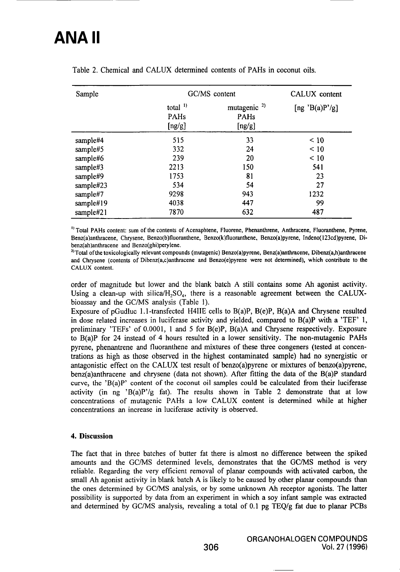# ANA II

| Sample    | GC/MS content                  | CALUX content                                    |                |
|-----------|--------------------------------|--------------------------------------------------|----------------|
|           | total $^{1}$<br>PAHs<br>[ng/g] | mutagenic <sup>2)</sup><br><b>PAHs</b><br>[ng/g] | [ng 'B(a)P'/g] |
| sample#4  | 515                            | 33                                               | < 10           |
| sample#5  | 332                            | 24                                               | $\leq 10$      |
| sample#6  | 239                            | 20                                               | < 10           |
| sample#3  | 2213                           | 150                                              | 541            |
| sample#9  | 1753                           | 81                                               | 23             |
| sample#23 | 534                            | 54                                               | 27             |
| sample#7  | 9298                           | 943                                              | 1232           |
| sample#19 | 4038                           | 447                                              | 99             |
| sample#21 | 7870                           | 632                                              | 487            |

Table 2. Chemical and CALUX determined contents of PAHs in coconut oils.

<sup>1)</sup> Total PAHs content: sum of the contents of Acenaphtene, Fluorene, Phenanthrene, Anthracene, Fluoranthene, Pyrene, Benz(a)anthracene, Chrysene, Benzo(b)fluoranthene, Benzo(k)fluoranthene, Benzo(a)pyrene, Indeno(123cd)pyrene, Dibenz(ah)anthracene and Benzo(ghi)perylene.

<sup>2)</sup> Total of the toxicologically relevant compounds (mutagenic) Benzo(a)pyrene, Benz(a)anthracene, Dibenz(a,h)anthracene and Chrysene (contents of Dibenz(a,c)anthracene and Benzo(e)pyrene were not determined), which contribute to the CALUX content.

order of magnitude but lower and the blank batch A still contains some Ah agonist activity. Using a clean-up with silica/H<sub>2</sub>SO<sub>4</sub>, there is a reasonable agreement between the CALUXbioassay and the GC/MS analysis (Table 1).

Exposure of pGudluc 1.1-transfected H4IIE cells to B(a)P, B(e)P, B(a)A and Chrysene resulted in dose related increases in luciferase activity and yielded, compared to  $B(a)P$  with a 'TEF' 1, preliminary 'TEFs' of 0.0001, 1 and 5 for B(e)P, B(a)A and Chrysene respectively. Exposure to B(a)P for 24 instead of 4 hours resulted in a lower sensitivity. The non-mutagenic PAHs pyrene, phenantrene and fluoranthene and mixtures of these three congeners (lested at concentrations as high as those observed in the highest contaminated sample) had no synergistic or antagonistic effect on the CALUX test result of benzo $(a)$ pyrene or mixtures of benzo $(a)$ pyrene, benz(a)anthracene and chrysene (dala not shown). After fitting the data of the B(a)P standard curve, the 'B(a)P' content of the coconut oil samples could be calculated from their luciferase activity (in ng 'B(a)P'/g fat). The results shown in Table 2 demonstrate that at low concentrations of mutagenic PAHs a low CALUX content is detennined while at higher concentrations an increase in luciferase activity is observed.

#### 4. Discussion

The fact that in three batches of butter fat there is almost no difference between the spiked amounts and the GC/MS determined levels, demonstrates that the GC/MS method is very reliable. Regarding the very efficient removal of planar compounds with activated carbon, the small Ah agonist activity in blank batch A is likely to be caused by other planar compounds than the ones determined by GC/MS analysis, or by some unknovm Ah receptor agonists. The latter possibility is supported by dala from an experiment in which a soy infant sample was extracted and determined by GC/MS analysis, revealing a total of 0.1 pg TEQ/g fat due lo planar PCBs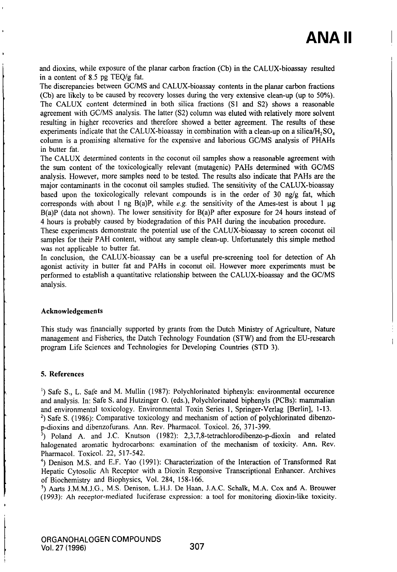and dioxins, while exposure of the planar carbon fraction (Cb) in the CALUX-bioassay resulted in a content of 8.5 pg TEQ/g fat.

The discrepancies between GC/MS and CALUX-bioassay contents in the planar carbon fractions (Cb) are likely to be caused by recovery losses during the very extensive clean-up (up to 50%). The CALUX content determined in both silica fractions (Sl and S2) shows a reasonable agreement with GC/MS analysis. The latter (S2) column was eluted with relatively more solvent resulting in higher recoveries and therefore showed a better agreement. The results of these experiments indicate that the CALUX-bioassay in combination with a clean-up on a silica/H,  $SO<sub>A</sub>$ column is a promising alternative for the expensive and laborious GC/MS analysis of PHAHs in butter fat.

The CALUX determined contents in the coconut oil samples show a reasonable agreement with the sum content of the toxicologically relevant (mutagenic) PAHs determined with GC/MS analysis. However, more samples need to be tested. The results also indicate that PAHs are the major contaminants in the coconut oil samples studied. The sensitivity of the CALUX-bioassay based upon the toxicologically relevant compounds is in the order of 30 ng/g fat, which corresponds with about 1 ng B(a)P, while e.g. the sensitivity of the Ames-test is about 1  $\mu$ g B(a)P (data not shown). The lower sensitivity for B(a)P after exposure for 24 hours instead of 4 hours is probably caused by biodegradation of this PAH during the incubation procediu'e.

These experiments demonstrate the potential use of the CALUX-bioassay to screen coconut oil samples for their PAH content, without any sample clean-up. Unfortunately this simple method was not applicable to butter fat.

In conclusion, the CALUX-bioassay can be a useful pre-screening tool for detection of Ah agonist activity in butler fat and PAHs in coconut oil. However more experiments must be performed to establish a quantitative relationship between the CALUX-bioassay and the GC/MS analysis.

#### Acknowledgements

This study was financially supported by grants from the Dutch Ministry of Agriculture, Nature management and Fisheries, the Dutch Technology Foundation (STW) and from the EU-research program Life Sciences and Technologies for Developing Countries (STD 3).

#### 5. References

') Safe S., L. Safe and M. Mullin (1987): Polychlorinated biphenyls: environmental occurence and analysis. In: Safe S. and Hutzinger O. (eds.), Polychlorinated biphenyls (PCBs): mammalian and environmental toxicology. Environmental Toxin Series 1, Springer-Verlag [Berlin], 1-13. <sup>2</sup>) Safe S. (1986): Comparative toxicology and mechanism of action of polychlorinated dibenzop-dioxins and dibenzofurans. Arm. Rev. Pharmacol. Toxicol. 26, 371-399.

 $^3$ ) Poland A. and J.C. Knutson (1982): 2,3,7,8-tetrachlorodibenzo-p-dioxin and related halogenated aromatic hydrocarbons: examination of the mechanism of toxicity. Ann. Rev. Pharmacol. Toxicol. 22, 517-542.

<sup>4</sup>) Denison M.S. and E.F. Yao (1991): Characterization of the Interaction of Transformed Rat Hepatic Cytosolic Ah Receptor with a Dioxin Responsive Transcriptional Enhancer. Archives of Biochemistry and Biophysics, Vol. 284, 158-166.

') Aarts J.M.M.J.G., M.S. Denison, L.H.J. De Haan, J.A.C. Schalk, M.A. Cox and A. Brouwer (1993): Ah receptor-mediated luciferase expression: a tool for monitoring dioxin-like toxicity.